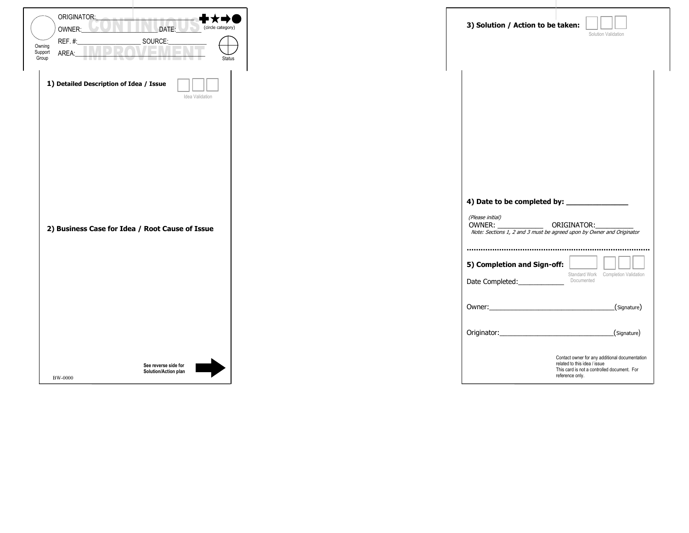| ORIGINATOR:<br>------<br>DATE:<br>(circle category)<br>OWNER:<br>$\overline{1}$<br>REF.#:<br>SOURCE:<br>Owning<br>Support<br>AREA:<br>Group<br><b>Status</b> | 3) Solution / Action to be taken:                                                                                                                                                                   | Solution Validation                                                                           |
|--------------------------------------------------------------------------------------------------------------------------------------------------------------|-----------------------------------------------------------------------------------------------------------------------------------------------------------------------------------------------------|-----------------------------------------------------------------------------------------------|
| 1) Detailed Description of Idea / Issue<br>Idea Validation<br>2) Business Case for Idea / Root Cause of Issue                                                | (Please initial)<br>OWNER: OWNER: ORIGINATOR:<br>Note: Sections 1, 2 and 3 must be agreed upon by Owner and Originator<br>5) Completion and Sign-off:<br>Documented<br>Date Completed:_____________ | Standard Work Completion Validation<br>(Signature)<br>(Signature)                             |
| See reverse side for<br>Solution/Action plan<br><b>BW-0000</b>                                                                                               | related to this idea / issue<br>reference only.                                                                                                                                                     | Contact owner for any additional documentation<br>This card is not a controlled document. For |